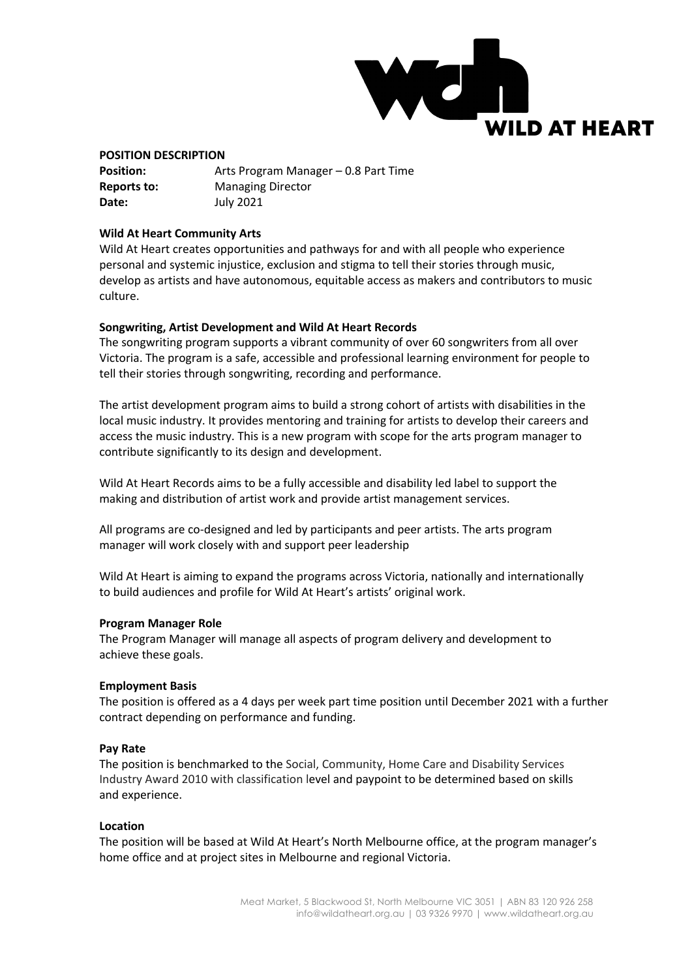

#### **POSITION DESCRIPTION**

| <b>Position:</b> | Arts Program Manager – 0.8 Part Time |
|------------------|--------------------------------------|
| Reports to:      | <b>Managing Director</b>             |
| Date:            | July 2021                            |

### **Wild At Heart Community Arts**

Wild At Heart creates opportunities and pathways for and with all people who experience personal and systemic injustice, exclusion and stigma to tell their stories through music, develop as artists and have autonomous, equitable access as makers and contributors to music culture.

### **Songwriting, Artist Development and Wild At Heart Records**

The songwriting program supports a vibrant community of over 60 songwriters from all over Victoria. The program is a safe, accessible and professional learning environment for people to tell their stories through songwriting, recording and performance.

The artist development program aims to build a strong cohort of artists with disabilities in the local music industry. It provides mentoring and training for artists to develop their careers and access the music industry. This is a new program with scope for the arts program manager to contribute significantly to its design and development.

Wild At Heart Records aims to be a fully accessible and disability led label to support the making and distribution of artist work and provide artist management services.

All programs are co-designed and led by participants and peer artists. The arts program manager will work closely with and support peer leadership

Wild At Heart is aiming to expand the programs across Victoria, nationally and internationally to build audiences and profile for Wild At Heart's artists' original work.

#### **Program Manager Role**

The Program Manager will manage all aspects of program delivery and development to achieve these goals.

#### **Employment Basis**

The position is offered as a 4 days per week part time position until December 2021 with a further contract depending on performance and funding.

#### **Pay Rate**

The position is benchmarked to the Social, Community, Home Care and Disability Services Industry Award 2010 with classification level and paypoint to be determined based on skills and experience.

#### **Location**

The position will be based at Wild At Heart's North Melbourne office, at the program manager's home office and at project sites in Melbourne and regional Victoria.